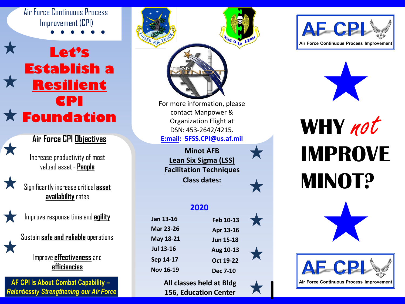## Air Force Continuous Process Improvement (CPI)

# **Let's Establish a Resilient CPI Foundation**

## **Air Force CPI Objectives**

Increase productivity of most valued asset - **People**



Significantly increasecritical **asset availability**rates



Improve response time and**agility**

Sustain**safe and reliable** operations

Improve **effectiveness**and **efficiencies**

AF CPI Is About Combat Capability -**Relentlessly Strengthening our Air Force** 



**All classes held at Bldg 156, Education Center** I





**WHY IMPROVE MINOT?** not